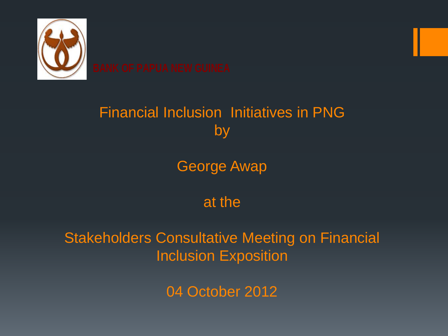

#### Financial Inclusion Initiatives in PNG by

George Awap

at the

Stakeholders Consultative Meeting on Financial Inclusion Exposition

04 October 2012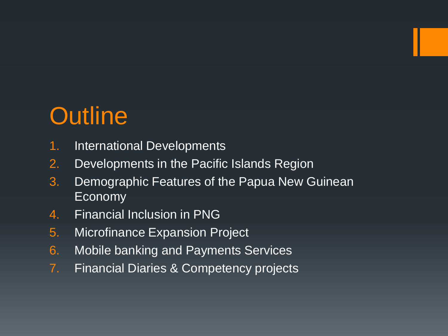# **Outline**

- 1. International Developments
- 2. Developments in the Pacific Islands Region
- 3. Demographic Features of the Papua New Guinean Economy
- 4. Financial Inclusion in PNG
- 5. Microfinance Expansion Project
- 6. Mobile banking and Payments Services
- 7. Financial Diaries & Competency projects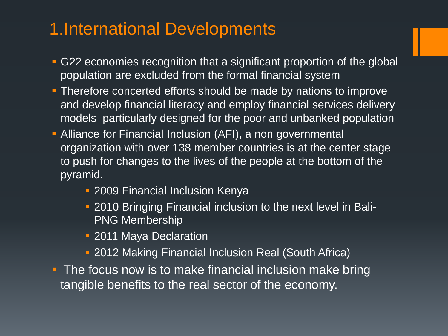### 1.International Developments

- G22 economies recognition that a significant proportion of the global population are excluded from the formal financial system
- **Therefore concerted efforts should be made by nations to improve** and develop financial literacy and employ financial services delivery models particularly designed for the poor and unbanked population
- Alliance for Financial Inclusion (AFI), a non governmental organization with over 138 member countries is at the center stage to push for changes to the lives of the people at the bottom of the pyramid.
	- 2009 Financial Inclusion Kenya
	- 2010 Bringing Financial inclusion to the next level in Bali-PNG Membership
	- 2011 Maya Declaration
	- 2012 Making Financial Inclusion Real (South Africa)
- **The focus now is to make financial inclusion make bring** tangible benefits to the real sector of the economy.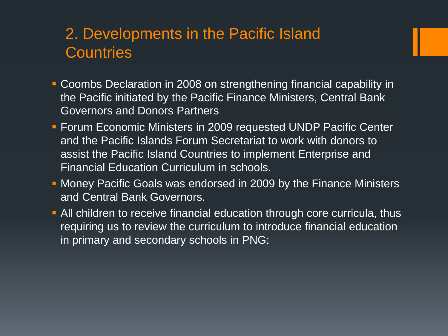#### 2. Developments in the Pacific Island **Countries**

- Coombs Declaration in 2008 on strengthening financial capability in the Pacific initiated by the Pacific Finance Ministers, Central Bank Governors and Donors Partners
- **Forum Economic Ministers in 2009 requested UNDP Pacific Center** and the Pacific Islands Forum Secretariat to work with donors to assist the Pacific Island Countries to implement Enterprise and Financial Education Curriculum in schools.
- Money Pacific Goals was endorsed in 2009 by the Finance Ministers and Central Bank Governors.
- All children to receive financial education through core curricula, thus requiring us to review the curriculum to introduce financial education in primary and secondary schools in PNG;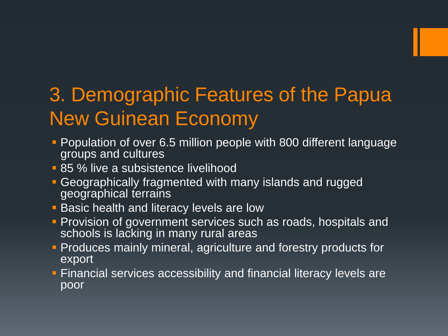# 3. Demographic Features of the Papua New Guinean Economy

- **Population of over 6.5 million people with 800 different language** groups and cultures
- **85 % live a subsistence livelihood**
- Geographically fragmented with many islands and rugged geographical terrains
- **Basic health and literacy levels are low**
- **Provision of government services such as roads, hospitals and** schools is lacking in many rural areas
- **Produces mainly mineral, agriculture and forestry products for** export
- Financial services accessibility and financial literacy levels are poor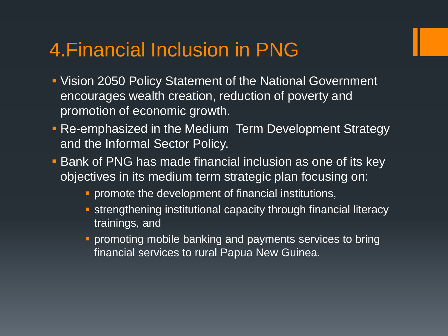### 4.Financial Inclusion in PNG

- Vision 2050 Policy Statement of the National Government encourages wealth creation, reduction of poverty and promotion of economic growth.
- **Re-emphasized in the Medium Term Development Strategy** and the Informal Sector Policy.
- **Bank of PNG has made financial inclusion as one of its key** objectives in its medium term strategic plan focusing on:
	- **Peromote the development of financial institutions,**
	- **strengthening institutional capacity through financial literacy** trainings, and
	- **Peromoting mobile banking and payments services to bring** financial services to rural Papua New Guinea.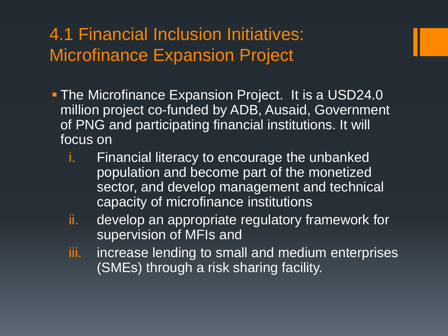### 4.1 Financial Inclusion Initiatives: Microfinance Expansion Project

- **The Microfinance Expansion Project. It is a USD24.0** million project co-funded by ADB, Ausaid, Government of PNG and participating financial institutions. It will focus on
	- i. Financial literacy to encourage the unbanked population and become part of the monetized sector, and develop management and technical capacity of microfinance institutions
	- ii. develop an appropriate regulatory framework for supervision of MFIs and
	- iii. increase lending to small and medium enterprises (SMEs) through a risk sharing facility.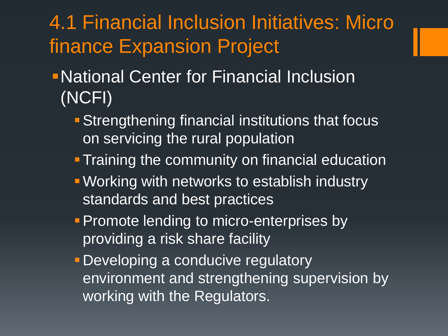# 4.1 Financial Inclusion Initiatives: Micro finance Expansion Project

- National Center for Financial Inclusion (NCFI)
	- **Strengthening financial institutions that focus** on servicing the rural population
	- **Training the community on financial education**
	- Working with networks to establish industry standards and best practices
	- **Promote lending to micro-enterprises by** providing a risk share facility
	- **Developing a conducive regulatory** environment and strengthening supervision by working with the Regulators.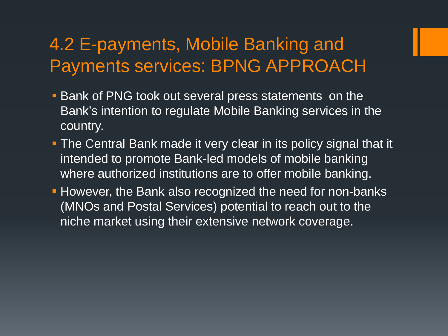### 4.2 E-payments, Mobile Banking and Payments services: BPNG APPROACH

- **Bank of PNG took out several press statements on the** Bank's intention to regulate Mobile Banking services in the country.
- **The Central Bank made it very clear in its policy signal that it** intended to promote Bank-led models of mobile banking where authorized institutions are to offer mobile banking.
- **However, the Bank also recognized the need for non-banks** (MNOs and Postal Services) potential to reach out to the niche market using their extensive network coverage.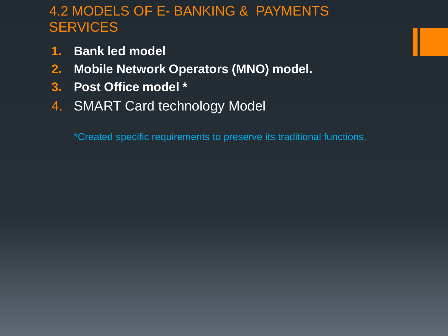#### 4.2 MODELS OF E- BANKING & PAYMENTS **SERVICES**

- **1. Bank led model**
- **2. Mobile Network Operators (MNO) model.**
- **3. Post Office model \***
- 4. SMART Card technology Model

\*Created specific requirements to preserve its traditional functions.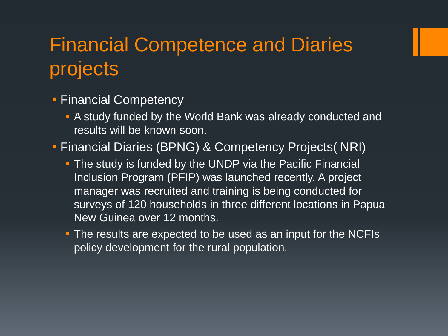# Financial Competence and Diaries projects

#### **Financial Competency**

- A study funded by the World Bank was already conducted and results will be known soon.
- Financial Diaries (BPNG) & Competency Projects( NRI)
	- **The study is funded by the UNDP via the Pacific Financial** Inclusion Program (PFIP) was launched recently. A project manager was recruited and training is being conducted for surveys of 120 households in three different locations in Papua New Guinea over 12 months.
	- **The results are expected to be used as an input for the NCFIs** policy development for the rural population.